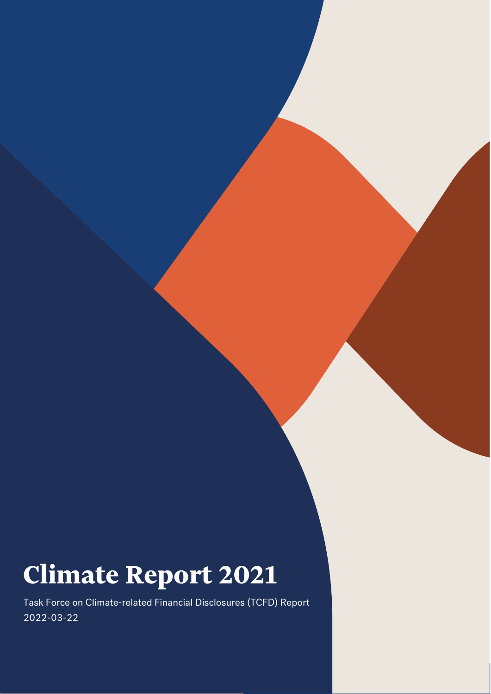# **Climate Report 2021**

Task Force on Climate-related Financial Disclosures (TCFD) Report 2022-03-22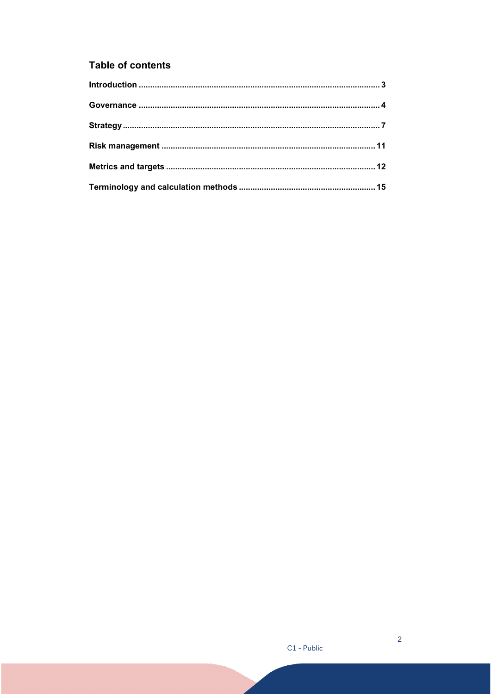## **Table of contents**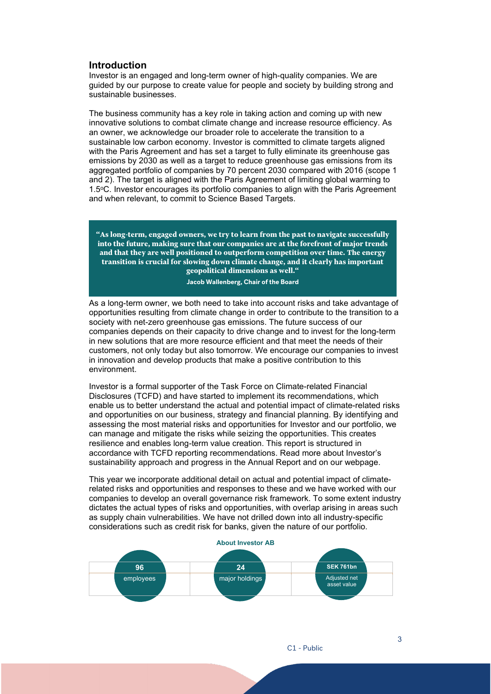## <span id="page-2-0"></span>**Introduction**

Investor is an engaged and long-term owner of high-quality companies. We are guided by our purpose to create value for people and society by building strong and sustainable businesses.

The business community has a key role in taking action and coming up with new innovative solutions to combat climate change and increase resource efficiency. As an owner, we acknowledge our broader role to accelerate the transition to a sustainable low carbon economy. Investor is committed to climate targets aligned with the Paris Agreement and has set a target to fully eliminate its greenhouse gas emissions by 2030 as well as a target to reduce greenhouse gas emissions from its aggregated portfolio of companies by 70 percent 2030 compared with 2016 (scope 1 and 2). The target is aligned with the Paris Agreement of limiting global warming to 1.5oC. Investor encourages its portfolio companies to align with the Paris Agreement and when relevant, to commit to Science Based Targets.

**"As long-term, engaged owners, we try to learn from the past to navigate successfully into the future, making sure that our companies are at the forefront of major trends and that they are well positioned to outperform competition over time. The energy transition is crucial for slowing down climate change, and it clearly has important geopolitical dimensions as well."**

#### **Jacob Wallenberg, Chair of the Board**

As a long-term owner, we both need to take into account risks and take advantage of opportunities resulting from climate change in order to contribute to the transition to a society with net-zero greenhouse gas emissions. The future success of our companies depends on their capacity to drive change and to invest for the long-term in new solutions that are more resource efficient and that meet the needs of their customers, not only today but also tomorrow. We encourage our companies to invest in innovation and develop products that make a positive contribution to this environment.

Investor is a formal supporter of the Task Force on Climate-related Financial Disclosures (TCFD) and have started to implement its recommendations, which enable us to better understand the actual and potential impact of climate-related risks and opportunities on our business, strategy and financial planning. By identifying and assessing the most material risks and opportunities for Investor and our portfolio, we can manage and mitigate the risks while seizing the opportunities. This creates resilience and enables long-term value creation. This report is structured in accordance with TCFD reporting recommendations. Read more about Investor's sustainability approach and progress in the Annual Report and on our webpage.

This year we incorporate additional detail on actual and potential impact of climaterelated risks and opportunities and responses to these and we have worked with our companies to develop an overall governance risk framework. To some extent industry dictates the actual types of risks and opportunities, with overlap arising in areas such as supply chain vulnerabilities. We have not drilled down into all industry-specific considerations such as credit risk for banks, given the nature of our portfolio.

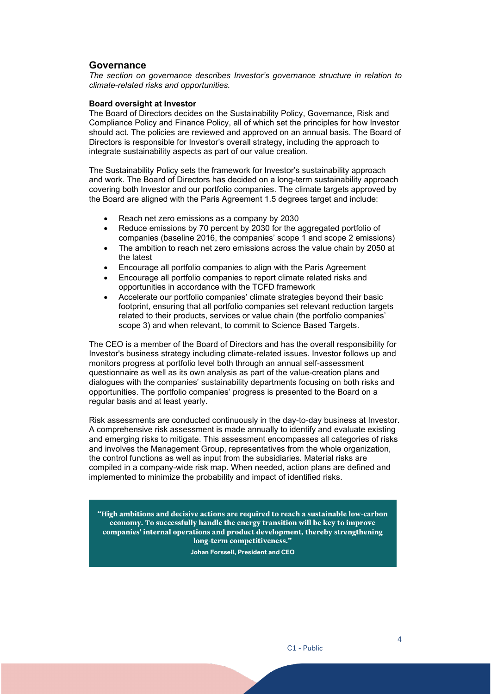## <span id="page-3-0"></span>**Governance**

*The section on governance describes Investor's governance structure in relation to climate-related risks and opportunities.*

#### **Board oversight at Investor**

The Board of Directors decides on the Sustainability Policy, Governance, Risk and Compliance Policy and Finance Policy, all of which set the principles for how Investor should act. The policies are reviewed and approved on an annual basis. The Board of Directors is responsible for Investor's overall strategy, including the approach to integrate sustainability aspects as part of our value creation.

The Sustainability Policy sets the framework for Investor's sustainability approach and work. The Board of Directors has decided on a long-term sustainability approach covering both Investor and our portfolio companies. The climate targets approved by the Board are aligned with the Paris Agreement 1.5 degrees target and include:

- Reach net zero emissions as a company by 2030
- Reduce emissions by 70 percent by 2030 for the aggregated portfolio of companies (baseline 2016, the companies' scope 1 and scope 2 emissions)
- The ambition to reach net zero emissions across the value chain by 2050 at the latest
- Encourage all portfolio companies to align with the Paris Agreement
- Encourage all portfolio companies to report climate related risks and opportunities in accordance with the TCFD framework
- Accelerate our portfolio companies' climate strategies beyond their basic footprint, ensuring that all portfolio companies set relevant reduction targets related to their products, services or value chain (the portfolio companies' scope 3) and when relevant, to commit to Science Based Targets.

The CEO is a member of the Board of Directors and has the overall responsibility for Investor's business strategy including climate-related issues. Investor follows up and monitors progress at portfolio level both through an annual self-assessment questionnaire as well as its own analysis as part of the value-creation plans and dialogues with the companies' sustainability departments focusing on both risks and opportunities. The portfolio companies' progress is presented to the Board on a regular basis and at least yearly.

Risk assessments are conducted continuously in the day-to-day business at Investor. A comprehensive risk assessment is made annually to identify and evaluate existing and emerging risks to mitigate. This assessment encompasses all categories of risks and involves the Management Group, representatives from the whole organization, the control functions as well as input from the subsidiaries. Material risks are compiled in a company-wide risk map. When needed, action plans are defined and implemented to minimize the probability and impact of identified risks.

**"High ambitions and decisive actions are required to reach a sustainable low-carbon economy. To successfully handle the energy transition will be key to improve companies' internal operations and product development, thereby strengthening long-term competitiveness."**

**Johan Forssell, President and CEO**

4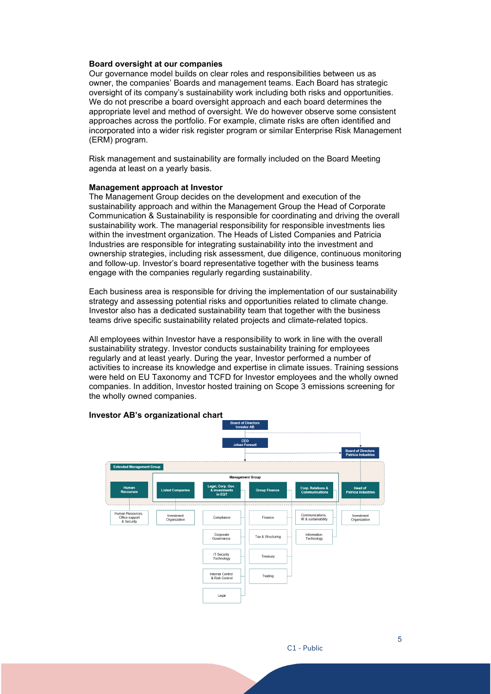#### **Board oversight at our companies**

Our governance model builds on clear roles and responsibilities between us as owner, the companies' Boards and management teams. Each Board has strategic oversight of its company's sustainability work including both risks and opportunities. We do not prescribe a board oversight approach and each board determines the appropriate level and method of oversight. We do however observe some consistent approaches across the portfolio. For example, climate risks are often identified and incorporated into a wider risk register program or similar Enterprise Risk Management (ERM) program.

Risk management and sustainability are formally included on the Board Meeting agenda at least on a yearly basis.

## **Management approach at Investor**

The Management Group decides on the development and execution of the sustainability approach and within the Management Group the Head of Corporate Communication & Sustainability is responsible for coordinating and driving the overall sustainability work. The managerial responsibility for responsible investments lies within the investment organization. The Heads of Listed Companies and Patricia Industries are responsible for integrating sustainability into the investment and ownership strategies, including risk assessment, due diligence, continuous monitoring and follow-up. Investor's board representative together with the business teams engage with the companies regularly regarding sustainability.

Each business area is responsible for driving the implementation of our sustainability strategy and assessing potential risks and opportunities related to climate change. Investor also has a dedicated sustainability team that together with the business teams drive specific sustainability related projects and climate-related topics.

All employees within Investor have a responsibility to work in line with the overall sustainability strategy. Investor conducts sustainability training for employees regularly and at least yearly. During the year, Investor performed a number of activities to increase its knowledge and expertise in climate issues. Training sessions were held on EU Taxonomy and TCFD for Investor employees and the wholly owned companies. In addition, Investor hosted training on Scope 3 emissions screening for the wholly owned companies.

## nded Manag Corp. Relations &<br>Communications **Liefed Comr** ega.<br>تع Head of<br>Icia Indus Human Resour<br>Office support<br>& Security Investment<br>Organization Communications,<br>IR & sustainability Investment<br>Organization Einance Compliance Corporate<br>Governance **Information**<br>Technology Tax & Structuring IT Security<br>Technology Treasury Internal Control<br>& Risk Control Trading Legal

#### **Investor AB's organizational chart**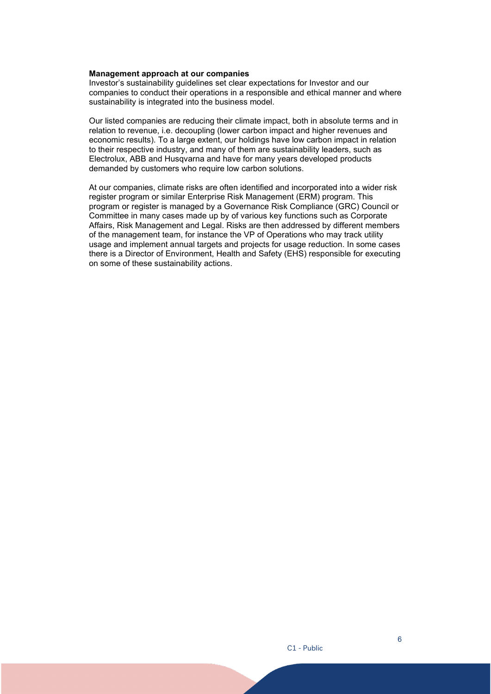## **Management approach at our companies**

Investor's sustainability guidelines set clear expectations for Investor and our companies to conduct their operations in a responsible and ethical manner and where sustainability is integrated into the business model.

Our listed companies are reducing their climate impact, both in absolute terms and in relation to revenue, i.e. decoupling (lower carbon impact and higher revenues and economic results). To a large extent, our holdings have low carbon impact in relation to their respective industry, and many of them are sustainability leaders, such as Electrolux, ABB and Husqvarna and have for many years developed products demanded by customers who require low carbon solutions.

At our companies, climate risks are often identified and incorporated into a wider risk register program or similar Enterprise Risk Management (ERM) program. This program or register is managed by a Governance Risk Compliance (GRC) Council or Committee in many cases made up by of various key functions such as Corporate Affairs, Risk Management and Legal. Risks are then addressed by different members of the management team, for instance the VP of Operations who may track utility usage and implement annual targets and projects for usage reduction. In some cases there is a Director of Environment, Health and Safety (EHS) responsible for executing on some of these sustainability actions.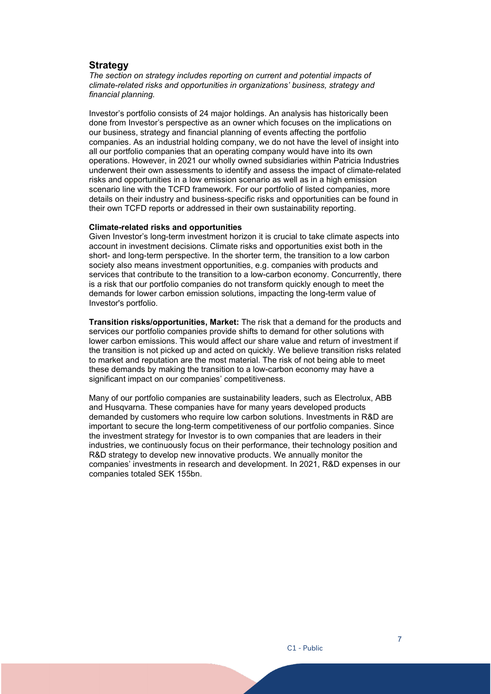## <span id="page-6-0"></span>**Strategy**

*The section on strategy includes reporting on current and potential impacts of climate-related risks and opportunities in organizations' business, strategy and financial planning.* 

Investor's portfolio consists of 24 major holdings. An analysis has historically been done from Investor's perspective as an owner which focuses on the implications on our business, strategy and financial planning of events affecting the portfolio companies. As an industrial holding company, we do not have the level of insight into all our portfolio companies that an operating company would have into its own operations. However, in 2021 our wholly owned subsidiaries within Patricia Industries underwent their own assessments to identify and assess the impact of climate-related risks and opportunities in a low emission scenario as well as in a high emission scenario line with the TCFD framework. For our portfolio of listed companies, more details on their industry and business-specific risks and opportunities can be found in their own TCFD reports or addressed in their own sustainability reporting.

#### **Climate-related risks and opportunities**

Given Investor's long-term investment horizon it is crucial to take climate aspects into account in investment decisions. Climate risks and opportunities exist both in the short- and long-term perspective. In the shorter term, the transition to a low carbon society also means investment opportunities, e.g. companies with products and services that contribute to the transition to a low-carbon economy. Concurrently, there is a risk that our portfolio companies do not transform quickly enough to meet the demands for lower carbon emission solutions, impacting the long-term value of Investor's portfolio.

**Transition risks/opportunities, Market:** The risk that a demand for the products and services our portfolio companies provide shifts to demand for other solutions with lower carbon emissions. This would affect our share value and return of investment if the transition is not picked up and acted on quickly. We believe transition risks related to market and reputation are the most material. The risk of not being able to meet these demands by making the transition to a low-carbon economy may have a significant impact on our companies' competitiveness.

Many of our portfolio companies are sustainability leaders, such as Electrolux, ABB and Husqvarna. These companies have for many years developed products demanded by customers who require low carbon solutions. Investments in R&D are important to secure the long-term competitiveness of our portfolio companies. Since the investment strategy for Investor is to own companies that are leaders in their industries, we continuously focus on their performance, their technology position and R&D strategy to develop new innovative products. We annually monitor the companies' investments in research and development. In 2021, R&D expenses in our companies totaled SEK 155bn.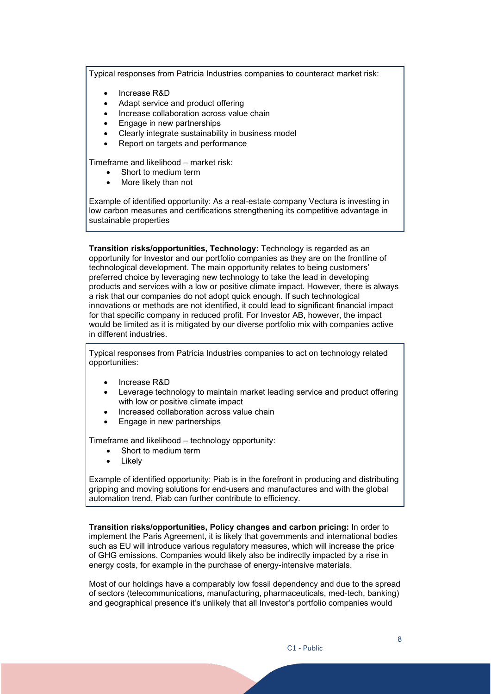Typical responses from Patricia Industries companies to counteract market risk:

- Increase R&D
- Adapt service and product offering
- Increase collaboration across value chain
- Engage in new partnerships
- Clearly integrate sustainability in business model
- Report on targets and performance

Timeframe and likelihood – market risk:

- Short to medium term
- More likely than not

Example of identified opportunity: As a real-estate company Vectura is investing in low carbon measures and certifications strengthening its competitive advantage in sustainable properties

**Transition risks/opportunities, Technology:** Technology is regarded as an opportunity for Investor and our portfolio companies as they are on the frontline of technological development. The main opportunity relates to being customers' preferred choice by leveraging new technology to take the lead in developing products and services with a low or positive climate impact. However, there is always a risk that our companies do not adopt quick enough. If such technological innovations or methods are not identified, it could lead to significant financial impact for that specific company in reduced profit. For Investor AB, however, the impact would be limited as it is mitigated by our diverse portfolio mix with companies active in different industries.

Typical responses from Patricia Industries companies to act on technology related opportunities:

- Increase R&D
- Leverage technology to maintain market leading service and product offering with low or positive climate impact
- Increased collaboration across value chain
- Engage in new partnerships

Timeframe and likelihood – technology opportunity:

- Short to medium term
- **Likelv**

Example of identified opportunity: Piab is in the forefront in producing and distributing gripping and moving solutions for end-users and manufactures and with the global automation trend, Piab can further contribute to efficiency.

**Transition risks/opportunities, Policy changes and carbon pricing:** In order to implement the Paris Agreement, it is likely that governments and international bodies such as EU will introduce various regulatory measures, which will increase the price of GHG emissions. Companies would likely also be indirectly impacted by a rise in energy costs, for example in the purchase of energy-intensive materials.

Most of our holdings have a comparably low fossil dependency and due to the spread of sectors (telecommunications, manufacturing, pharmaceuticals, med-tech, banking) and geographical presence it's unlikely that all Investor's portfolio companies would

8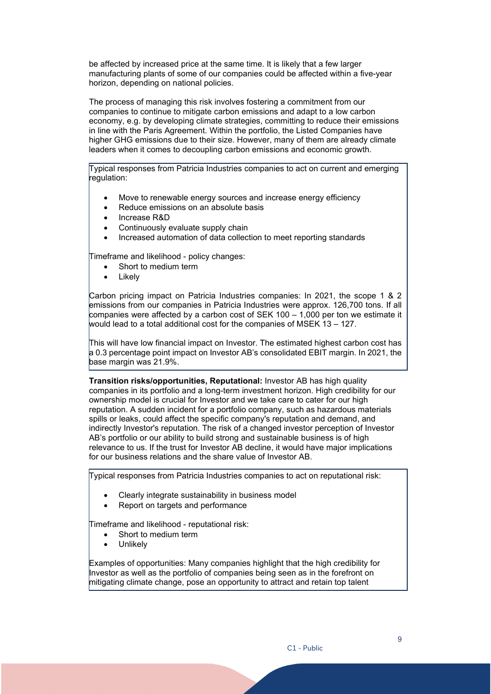be affected by increased price at the same time. It is likely that a few larger manufacturing plants of some of our companies could be affected within a five-year horizon, depending on national policies.

The process of managing this risk involves fostering a commitment from our companies to continue to mitigate carbon emissions and adapt to a low carbon economy, e.g. by developing climate strategies, committing to reduce their emissions in line with the Paris Agreement. Within the portfolio, the Listed Companies have higher GHG emissions due to their size. However, many of them are already climate leaders when it comes to decoupling carbon emissions and economic growth.

Typical responses from Patricia Industries companies to act on current and emerging regulation:

- Move to renewable energy sources and increase energy efficiency
- Reduce emissions on an absolute basis
- Increase R&D
- Continuously evaluate supply chain
- Increased automation of data collection to meet reporting standards

Timeframe and likelihood - policy changes:

- Short to medium term
- **Likely**

Carbon pricing impact on Patricia Industries companies: In 2021, the scope 1 & 2 emissions from our companies in Patricia Industries were approx. 126,700 tons. If all  $\,$  companies were affected by a carbon cost of SEK 100 – 1,000 per ton we estimate it would lead to a total additional cost for the companies of MSEK 13 – 127.

This will have low financial impact on Investor. The estimated highest carbon cost has a 0.3 percentage point impact on Investor AB's consolidated EBIT margin. In 2021, the base margin was 21.9%.

**Transition risks/opportunities, Reputational:** Investor AB has high quality companies in its portfolio and a long-term investment horizon. High credibility for our ownership model is crucial for Investor and we take care to cater for our high reputation. A sudden incident for a portfolio company, such as hazardous materials spills or leaks, could affect the specific company's reputation and demand, and indirectly Investor's reputation. The risk of a changed investor perception of Investor AB's portfolio or our ability to build strong and sustainable business is of high relevance to us. If the trust for Investor AB decline, it would have major implications for our business relations and the share value of Investor AB.

Typical responses from Patricia Industries companies to act on reputational risk:

- Clearly integrate sustainability in business model
- Report on targets and performance

Timeframe and likelihood - reputational risk:

- Short to medium term
- **Unlikely**

Examples of opportunities: Many companies highlight that the high credibility for Investor as well as the portfolio of companies being seen as in the forefront on mitigating climate change, pose an opportunity to attract and retain top talent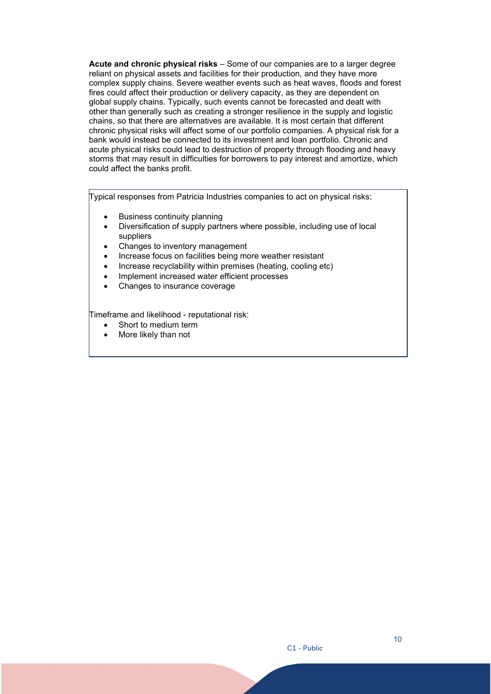**Acute and chronic physical risks** – Some of our companies are to a larger degree reliant on physical assets and facilities for their production, and they have more complex supply chains. Severe weather events such as heat waves, floods and forest fires could affect their production or delivery capacity, as they are dependent on global supply chains. Typically, such events cannot be forecasted and dealt with other than generally such as creating a stronger resilience in the supply and logistic chains, so that there are alternatives are available. It is most certain that different chronic physical risks will affect some of our portfolio companies. A physical risk for a bank would instead be connected to its investment and loan portfolio. Chronic and acute physical risks could lead to destruction of property through flooding and heavy storms that may result in difficulties for borrowers to pay interest and amortize, which could affect the banks profit.

Typical responses from Patricia Industries companies to act on physical risks:

- Business continuity planning
- Diversification of supply partners where possible, including use of local suppliers
- Changes to inventory management
- Increase focus on facilities being more weather resistant
- Increase recyclability within premises (heating, cooling etc)
- Implement increased water efficient processes
- Changes to insurance coverage

Timeframe and likelihood - reputational risk:

- Short to medium term
- More likely than not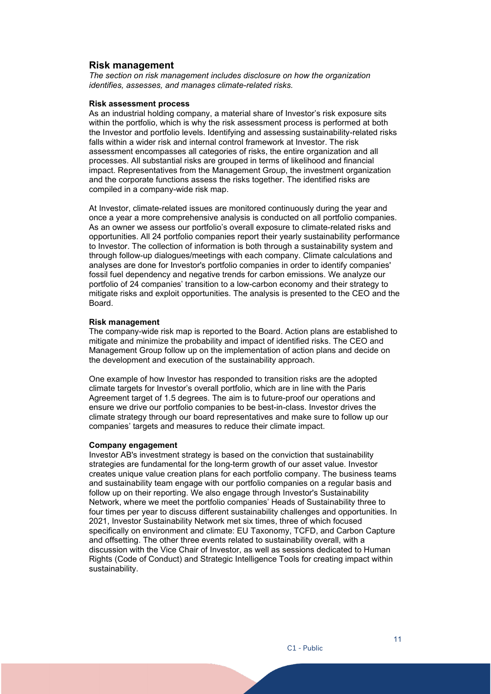## <span id="page-10-0"></span>**Risk management**

*The section on risk management includes disclosure on how the organization identifies, assesses, and manages climate-related risks.*

## **Risk assessment process**

As an industrial holding company, a material share of Investor's risk exposure sits within the portfolio, which is why the risk assessment process is performed at both the Investor and portfolio levels. Identifying and assessing sustainability-related risks falls within a wider risk and internal control framework at Investor. The risk assessment encompasses all categories of risks, the entire organization and all processes. All substantial risks are grouped in terms of likelihood and financial impact. Representatives from the Management Group, the investment organization and the corporate functions assess the risks together. The identified risks are compiled in a company-wide risk map.

At Investor, climate-related issues are monitored continuously during the year and once a year a more comprehensive analysis is conducted on all portfolio companies. As an owner we assess our portfolio's overall exposure to climate-related risks and opportunities. All 24 portfolio companies report their yearly sustainability performance to Investor. The collection of information is both through a sustainability system and through follow-up dialogues/meetings with each company. Climate calculations and analyses are done for Investor's portfolio companies in order to identify companies' fossil fuel dependency and negative trends for carbon emissions. We analyze our portfolio of 24 companies' transition to a low-carbon economy and their strategy to mitigate risks and exploit opportunities. The analysis is presented to the CEO and the Board.

#### **Risk management**

The company-wide risk map is reported to the Board. Action plans are established to mitigate and minimize the probability and impact of identified risks. The CEO and Management Group follow up on the implementation of action plans and decide on the development and execution of the sustainability approach.

One example of how Investor has responded to transition risks are the adopted climate targets for Investor's overall portfolio, which are in line with the Paris Agreement target of 1.5 degrees. The aim is to future-proof our operations and ensure we drive our portfolio companies to be best-in-class. Investor drives the climate strategy through our board representatives and make sure to follow up our companies' targets and measures to reduce their climate impact.

## **Company engagement**

Investor AB's investment strategy is based on the conviction that sustainability strategies are fundamental for the long-term growth of our asset value. Investor creates unique value creation plans for each portfolio company. The business teams and sustainability team engage with our portfolio companies on a regular basis and follow up on their reporting. We also engage through Investor's Sustainability Network, where we meet the portfolio companies' Heads of Sustainability three to four times per year to discuss different sustainability challenges and opportunities. In 2021, Investor Sustainability Network met six times, three of which focused specifically on environment and climate: EU Taxonomy, TCFD, and Carbon Capture and offsetting. The other three events related to sustainability overall, with a discussion with the Vice Chair of Investor, as well as sessions dedicated to Human Rights (Code of Conduct) and Strategic Intelligence Tools for creating impact within sustainability.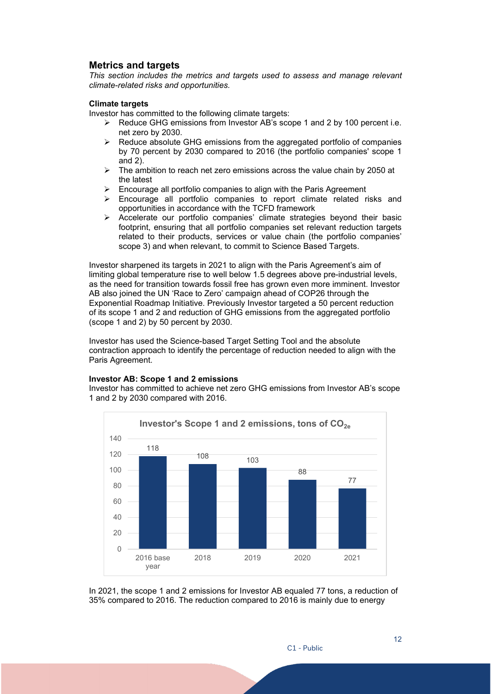## <span id="page-11-0"></span>**Metrics and targets**

*This section includes the metrics and targets used to assess and manage relevant climate-related risks and opportunities.*

## **Climate targets**

Investor has committed to the following climate targets:

- $\triangleright$  Reduce GHG emissions from Investor AB's scope 1 and 2 by 100 percent i.e. net zero by 2030.
- $\triangleright$  Reduce absolute GHG emissions from the aggregated portfolio of companies by 70 percent by 2030 compared to 2016 (the portfolio companies' scope 1 and 2).
- $\geq$  The ambition to reach net zero emissions across the value chain by 2050 at the latest
- Encourage all portfolio companies to align with the Paris Agreement
- $\geq$  Encourage all portfolio companies to report climate related risks and opportunities in accordance with the TCFD framework
- $\triangleright$  Accelerate our portfolio companies' climate strategies beyond their basic footprint, ensuring that all portfolio companies set relevant reduction targets related to their products, services or value chain (the portfolio companies' scope 3) and when relevant, to commit to Science Based Targets.

Investor sharpened its targets in 2021 to align with the Paris Agreement's aim of limiting global temperature rise to well below 1.5 degrees above pre-industrial levels, as the need for transition towards fossil free has grown even more imminent. Investor AB also joined the UN 'Race to Zero' campaign ahead of COP26 through the Exponential Roadmap Initiative. Previously Investor targeted a 50 percent reduction of its scope 1 and 2 and reduction of GHG emissions from the aggregated portfolio (scope 1 and 2) by 50 percent by 2030.

Investor has used the Science-based Target Setting Tool and the absolute contraction approach to identify the percentage of reduction needed to align with the Paris Agreement.

## **Investor AB: Scope 1 and 2 emissions**

Investor has committed to achieve net zero GHG emissions from Investor AB's scope 1 and 2 by 2030 compared with 2016.



In 2021, the scope 1 and 2 emissions for Investor AB equaled 77 tons, a reduction of 35% compared to 2016. The reduction compared to 2016 is mainly due to energy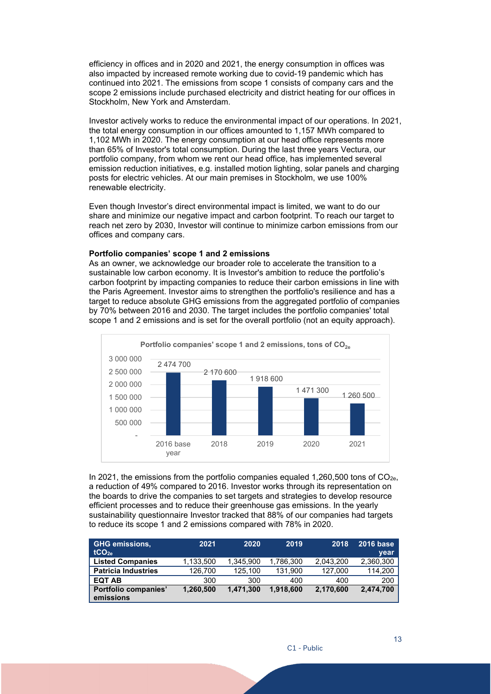efficiency in offices and in 2020 and 2021, the energy consumption in offices was also impacted by increased remote working due to covid-19 pandemic which has continued into 2021. The emissions from scope 1 consists of company cars and the scope 2 emissions include purchased electricity and district heating for our offices in Stockholm, New York and Amsterdam.

Investor actively works to reduce the environmental impact of our operations. In 2021, the total energy consumption in our offices amounted to 1,157 MWh compared to 1,102 MWh in 2020. The energy consumption at our head office represents more than 65% of Investor's total consumption. During the last three years Vectura, our portfolio company, from whom we rent our head office, has implemented several emission reduction initiatives, e.g. installed motion lighting, solar panels and charging posts for electric vehicles. At our main premises in Stockholm, we use 100% renewable electricity.

Even though Investor's direct environmental impact is limited, we want to do our share and minimize our negative impact and carbon footprint. To reach our target to reach net zero by 2030, Investor will continue to minimize carbon emissions from our offices and company cars.

## **Portfolio companies' scope 1 and 2 emissions**

As an owner, we acknowledge our broader role to accelerate the transition to a sustainable low carbon economy. It is Investor's ambition to reduce the portfolio's carbon footprint by impacting companies to reduce their carbon emissions in line with the Paris Agreement. Investor aims to strengthen the portfolio's resilience and has a target to reduce absolute GHG emissions from the aggregated portfolio of companies by 70% between 2016 and 2030. The target includes the portfolio companies' total scope 1 and 2 emissions and is set for the overall portfolio (not an equity approach).



In 2021, the emissions from the portfolio companies equaled 1,260,500 tons of  $CO<sub>2e</sub>$ , a reduction of 49% compared to 2016. Investor works through its representation on the boards to drive the companies to set targets and strategies to develop resource efficient processes and to reduce their greenhouse gas emissions. In the yearly sustainability questionnaire Investor tracked that 88% of our companies had targets to reduce its scope 1 and 2 emissions compared with 78% in 2020.

| <b>GHG emissions,</b><br>tCO <sub>2e</sub> | 2021      | 2020      | 2019      | 2018      | <b>2016 base</b><br>year |
|--------------------------------------------|-----------|-----------|-----------|-----------|--------------------------|
| <b>Listed Companies</b>                    | 1,133,500 | 1,345,900 | 1,786,300 | 2.043.200 | 2,360,300                |
| <b>Patricia Industries</b>                 | 126.700   | 125.100   | 131.900   | 127,000   | 114,200                  |
| <b>EQT AB</b>                              | 300       | 300       | 400       | 400       | 200                      |
| Portfolio companies'<br>emissions          | 1,260,500 | 1,471,300 | 1.918.600 | 2,170,600 | 2,474,700                |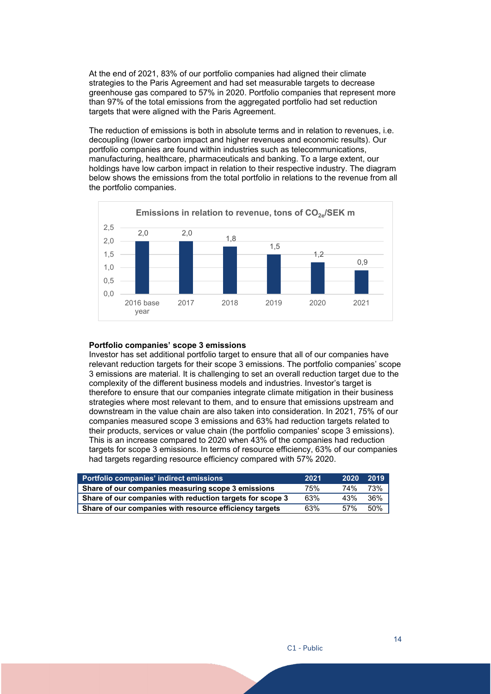At the end of 2021, 83% of our portfolio companies had aligned their climate strategies to the Paris Agreement and had set measurable targets to decrease greenhouse gas compared to 57% in 2020. Portfolio companies that represent more than 97% of the total emissions from the aggregated portfolio had set reduction targets that were aligned with the Paris Agreement.

The reduction of emissions is both in absolute terms and in relation to revenues, i.e. decoupling (lower carbon impact and higher revenues and economic results). Our portfolio companies are found within industries such as telecommunications, manufacturing, healthcare, pharmaceuticals and banking. To a large extent, our holdings have low carbon impact in relation to their respective industry. The diagram below shows the emissions from the total portfolio in relations to the revenue from all the portfolio companies.



#### **Portfolio companies' scope 3 emissions**

Investor has set additional portfolio target to ensure that all of our companies have relevant reduction targets for their scope 3 emissions. The portfolio companies' scope 3 emissions are material. It is challenging to set an overall reduction target due to the complexity of the different business models and industries. Investor's target is therefore to ensure that our companies integrate climate mitigation in their business strategies where most relevant to them, and to ensure that emissions upstream and downstream in the value chain are also taken into consideration. In 2021, 75% of our companies measured scope 3 emissions and 63% had reduction targets related to their products, services or value chain (the portfolio companies' scope 3 emissions). This is an increase compared to 2020 when 43% of the companies had reduction targets for scope 3 emissions. In terms of resource efficiency, 63% of our companies had targets regarding resource efficiency compared with 57% 2020.

| Portfolio companies' indirect emissions                   | 2021 | 2020 | 2019 |
|-----------------------------------------------------------|------|------|------|
| Share of our companies measuring scope 3 emissions        | 75%  | 74%  | 73%  |
| Share of our companies with reduction targets for scope 3 | 63%  | 43%  | 36%  |
| Share of our companies with resource efficiency targets   | 63%  | .57% | 50%  |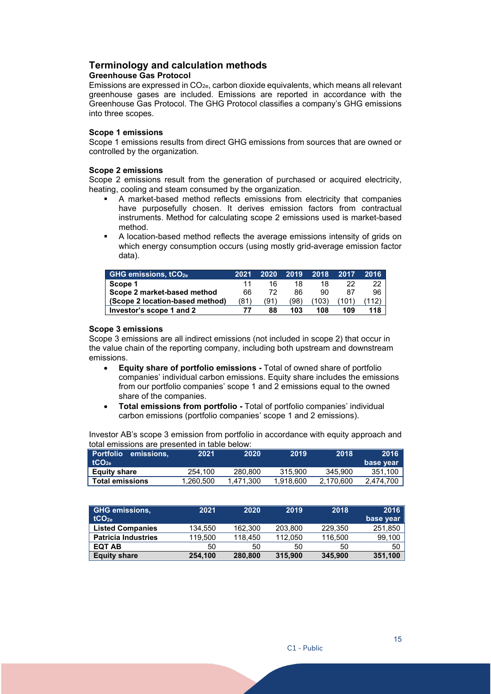## <span id="page-14-0"></span>**Terminology and calculation methods**

## **Greenhouse Gas Protocol**

Emissions are expressed in  $CO<sub>2e</sub>$ , carbon dioxide equivalents, which means all relevant greenhouse gases are included. Emissions are reported in accordance with the Greenhouse Gas Protocol. The GHG Protocol classifies a company's GHG emissions into three scopes.

## **Scope 1 emissions**

Scope 1 emissions results from direct GHG emissions from sources that are owned or controlled by the organization.

## **Scope 2 emissions**

Scope 2 emissions result from the generation of purchased or acquired electricity, heating, cooling and steam consumed by the organization.

- A market-based method reflects emissions from electricity that companies have purposefully chosen. It derives emission factors from contractual instruments. Method for calculating scope 2 emissions used is market-based method.
- A location-based method reflects the average emissions intensity of grids on which energy consumption occurs (using mostly grid-average emission factor data).

| <b>GHG emissions, tCO<sub>2e</sub></b> | 2021 | 2020 | 2019 | 2018  | 2017  | 2016 |
|----------------------------------------|------|------|------|-------|-------|------|
| Scope 1                                |      | 16   | 18   |       | 22    | 22   |
| Scope 2 market-based method            | 66   |      | 86   | 90    | 87    | 96   |
| (Scope 2 location-based method)        | (81) | (91  | (98  | (103) | (101) | 12)  |
| Investor's scope 1 and 2               |      | 88   | 103  | 108   | 109   | 118  |

## **Scope 3 emissions**

Scope 3 emissions are all indirect emissions (not included in scope 2) that occur in the value chain of the reporting company, including both upstream and downstream emissions.

- **Equity share of portfolio emissions** Total of owned share of portfolio companies' individual carbon emissions. Equity share includes the emissions from our portfolio companies' scope 1 and 2 emissions equal to the owned share of the companies.
- **Total emissions from portfolio** Total of portfolio companies' individual carbon emissions (portfolio companies' scope 1 and 2 emissions).

Investor AB's scope 3 emission from portfolio in accordance with equity approach and total emissions are presented in table below:

| <b>Portfolio</b><br>emissions.<br>tCO <sub>2a</sub> | 2021      | 2020      | 2019      | 2018      | 2016<br>base year |
|-----------------------------------------------------|-----------|-----------|-----------|-----------|-------------------|
| <b>Equity share</b>                                 | 254.100   | 280.800   | 315,900   | 345.900   | 351.100           |
| <b>Total emissions</b>                              | 1,260,500 | 1.471.300 | 1.918.600 | 2,170,600 | 2,474,700         |

| <b>GHG emissions,</b><br>tCO <sub>2a</sub> | 2021    | 2020    | 2019    | 2018    | 2016<br>base year |
|--------------------------------------------|---------|---------|---------|---------|-------------------|
| <b>Listed Companies</b>                    | 134.550 | 162.300 | 203.800 | 229.350 | 251,850           |
| <b>Patricia Industries</b>                 | 119,500 | 118.450 | 112.050 | 116.500 | 99,100            |
| <b>EQT AB</b>                              | 50      | 50      | 50      | 50      | 50                |
| <b>Equity share</b>                        | 254.100 | 280,800 | 315,900 | 345,900 | 351,100           |